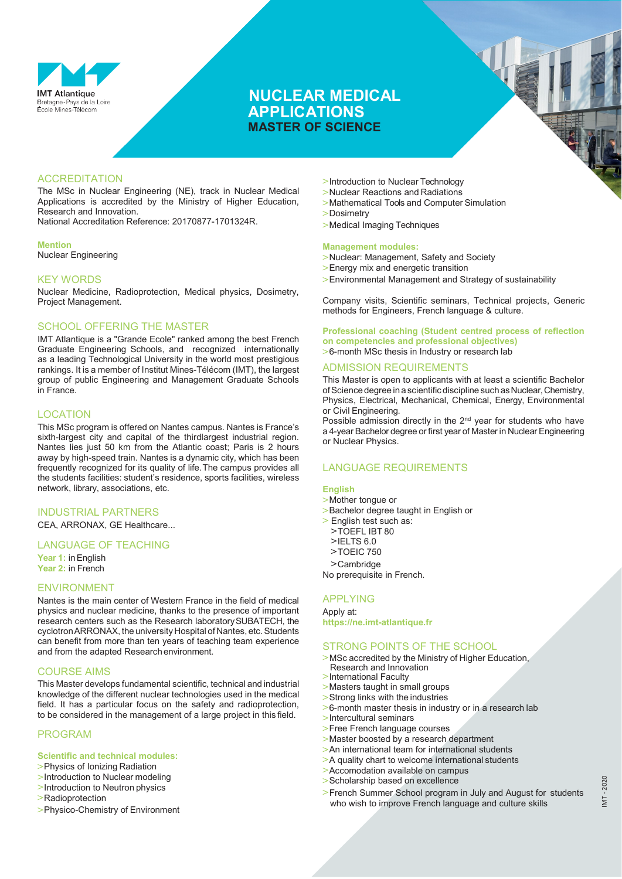

## **NUCLEAR MEDICAL APPLICATIONS MASTER OF SCIENCE**

### **ACCREDITATION**

The MSc in Nuclear Engineering (NE), track in Nuclear Medical Applications is accredited by the Ministry of Higher Education, Research and Innovation.

National Accreditation Reference: 20170877-1701324R.

#### **Mention**

Nuclear Engineering

### KEY WORDS

Nuclear Medicine, Radioprotection, Medical physics, Dosimetry, Project Management.

### SCHOOL OFFERING THE MASTER

IMT Atlantique is a "Grande Ecole" ranked among the best French Graduate Engineering Schools, and recognized internationally as a leading Technological University in the world most prestigious rankings. It is a member of Institut Mines-Télécom (IMT), the largest group of public Engineering and Management Graduate Schools in France.

#### LOCATION

This MSc program is offered on Nantes campus. Nantes is France's sixth-largest city and capital of the thirdlargest industrial region. Nantes lies just 50 km from the Atlantic coast; Paris is 2 hours away by high-speed train. Nantes is a dynamic city, which has been frequently recognized for its quality of life.The campus provides all the students facilities: student's residence, sports facilities, wireless network, library, associations, etc.

### INDUSTRIAL PARTNERS

CEA, ARRONAX, GE Healthcare...

### LANGUAGE OF TEACHING

**Year 1:** inEnglish **Year 2:** in French

#### ENVIRONMENT

Nantes is the main center of Western France in the field of medical physics and nuclear medicine, thanks to the presence of important research centers such as the Research laboratorySUBATECH, the cyclotronARRONAX, the university Hospital of Nantes, etc.Students can benefit from more than ten years of teaching team experience and from the adapted Researchenvironment.

### COURSE AIMS

This Master develops fundamental scientific, technical and industrial knowledge of the different nuclear technologies used in the medical field. It has a particular focus on the safety and radioprotection, to be considered in the management of a large project in this field.

### PROGRAM

#### **Scientific and technical modules:**

- **>**Physics of Ionizing Radiation
- **>**Introduction to Nuclear modeling
- **>**Introduction to Neutron physics **>**Radioprotection
- 
- **>**Physico-Chemistry of Environment
- **>**Introduction to Nuclear Technology
- **>**Nuclear Reactions and Radiations
- **>**Mathematical Tools and Computer Simulation
- **>**Dosimetry
- **>**Medical Imaging Techniques

#### **Management modules:**

- **>**Nuclear: Management, Safety and Society
- **>**Energy mix and energetic transition
- **>**Environmental Management and Strategy of sustainability

Company visits, Scientific seminars, Technical projects, Generic methods for Engineers, French language & culture.

#### **Professional coaching (Student centred process of reflection on competencies and professional objectives)**

**>**6-month MSc thesis in Industry or research lab

#### ADMISSION REQUIREMENTS

This Master is open to applicants with at least a scientific Bachelor of Science degree in a scientific discipline such as Nuclear, Chemistry, Physics, Electrical, Mechanical, Chemical, Energy, Environmental or Civil Engineering.

Possible admission directly in the 2<sup>nd</sup> year for students who have a 4-year Bachelor degree or first year of Master in Nuclear Engineering or Nuclear Physics.

### LANGUAGE REQUIREMENTS

#### **English**

- **>**Mother tongue or
- **>**Bachelor degree taught in English or
- **>** English test such as:
- **>**TOEFL IBT 80
- **>**IELTS 6.0 **>**TOEIC 750
- 
- **>**Cambridge No prerequisite in French.

#### APPLYING

Apply at: **https://ne.imt-atlantique.fr**

### STRONG POINTS OF THE SCHOOL

- **>**MSc accredited by the Ministry of Higher Education, Research and Innovation
- **>**International Faculty
- **>**Masters taught in small groups
- **>**Strong links with the industries
- **>**6-month master thesis in industry or in a research lab
- **>**Intercultural seminars
- **>**Free French language courses
- **>**Master boosted by a research department
- **>**An international team for international students
- **>**A quality chart to welcome international students
- **>**Accomodation available on campus
- **>**Scholarship based on excellence
- **>**French Summer School program in July and August for students who wish to improve French language and culture skills

 $-2020$ IMT - 2020IMT.